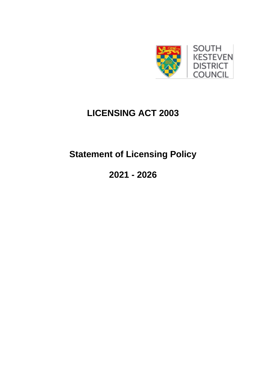

# **LICENSING ACT 2003**

# **Statement of Licensing Policy**

**2021 - 2026**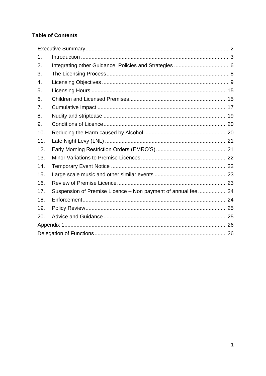# **Table of Contents**

| 1.  |                                                               |  |  |  |
|-----|---------------------------------------------------------------|--|--|--|
| 2.  |                                                               |  |  |  |
| 3.  |                                                               |  |  |  |
| 4.  |                                                               |  |  |  |
| 5.  |                                                               |  |  |  |
| 6.  |                                                               |  |  |  |
| 7.  |                                                               |  |  |  |
| 8.  |                                                               |  |  |  |
| 9.  |                                                               |  |  |  |
| 10. |                                                               |  |  |  |
| 11. |                                                               |  |  |  |
| 12. |                                                               |  |  |  |
| 13. |                                                               |  |  |  |
| 14. |                                                               |  |  |  |
| 15. |                                                               |  |  |  |
| 16. |                                                               |  |  |  |
| 17. | Suspension of Premise Licence - Non payment of annual fee  24 |  |  |  |
| 18. |                                                               |  |  |  |
| 19. |                                                               |  |  |  |
| 20. |                                                               |  |  |  |
|     |                                                               |  |  |  |
|     |                                                               |  |  |  |
|     |                                                               |  |  |  |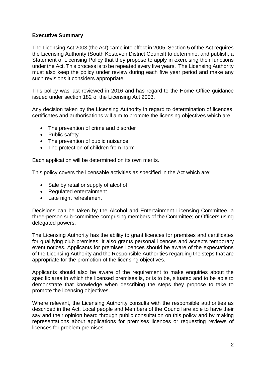# <span id="page-2-0"></span>**Executive Summary**

The Licensing Act 2003 (the Act) came into effect in 2005. Section 5 of the Act requires the Licensing Authority (South Kesteven District Council) to determine, and publish, a Statement of Licensing Policy that they propose to apply in exercising their functions under the Act. This process is to be repeated every five years. The Licensing Authority must also keep the policy under review during each five year period and make any such revisions it considers appropriate.

This policy was last reviewed in 2016 and has regard to the Home Office guidance issued under section 182 of the Licensing Act 2003.

Any decision taken by the Licensing Authority in regard to determination of licences, certificates and authorisations will aim to promote the licensing objectives which are:

- The prevention of crime and disorder
- Public safety
- The prevention of public nuisance
- The protection of children from harm

Each application will be determined on its own merits.

This policy covers the licensable activities as specified in the Act which are:

- Sale by retail or supply of alcohol
- Regulated entertainment
- Late night refreshment

Decisions can be taken by the Alcohol and Entertainment Licensing Committee, a three-person sub-committee comprising members of the Committee; or Officers using delegated powers.

The Licensing Authority has the ability to grant licences for premises and certificates for qualifying club premises. It also grants personal licences and accepts temporary event notices. Applicants for premises licences should be aware of the expectations of the Licensing Authority and the Responsible Authorities regarding the steps that are appropriate for the promotion of the licensing objectives.

Applicants should also be aware of the requirement to make enquiries about the specific area in which the licensed premises is, or is to be, situated and to be able to demonstrate that knowledge when describing the steps they propose to take to promote the licensing objectives.

Where relevant, the Licensing Authority consults with the responsible authorities as described in the Act. Local people and Members of the Council are able to have their say and their opinion heard through public consultation on this policy and by making representations about applications for premises licences or requesting reviews of licences for problem premises.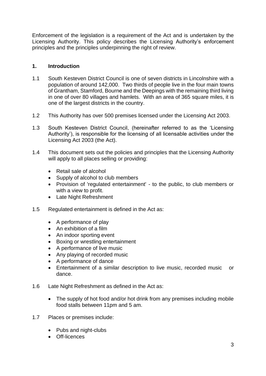Enforcement of the legislation is a requirement of the Act and is undertaken by the Licensing Authority. This policy describes the Licensing Authority's enforcement principles and the principles underpinning the right of review.

# <span id="page-3-0"></span>**1. Introduction**

- 1.1 South Kesteven District Council is one of seven districts in Lincolnshire with a population of around 142,000. Two thirds of people live in the four main towns of Grantham, Stamford, Bourne and the Deepings with the remaining third living in one of over 80 villages and hamlets. With an area of 365 square miles, it is one of the largest districts in the country.
- 1.2 This Authority has over 500 premises licensed under the Licensing Act 2003.
- 1.3 South Kesteven District Council, (hereinafter referred to as the 'Licensing Authority'), is responsible for the licensing of all licensable activities under the Licensing Act 2003 (the Act).
- 1.4 This document sets out the policies and principles that the Licensing Authority will apply to all places selling or providing:
	- Retail sale of alcohol
	- Supply of alcohol to club members
	- Provision of 'regulated entertainment' to the public, to club members or with a view to profit.
	- Late Night Refreshment
- 1.5 Regulated entertainment is defined in the Act as:
	- A performance of play
	- An exhibition of a film
	- An indoor sporting event
	- Boxing or wrestling entertainment
	- A performance of live music
	- Any playing of recorded music
	- A performance of dance
	- Entertainment of a similar description to live music, recorded music or dance.
- 1.6 Late Night Refreshment as defined in the Act as:
	- The supply of hot food and/or hot drink from any premises including mobile food stalls between 11pm and 5 am.
- 1.7 Places or premises include:
	- Pubs and night-clubs
	- Off-licences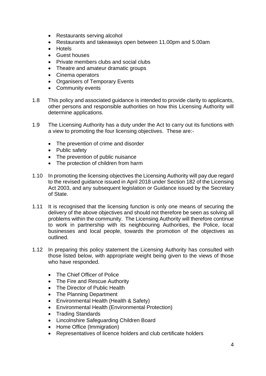- Restaurants serving alcohol
- Restaurants and takeaways open between 11.00pm and 5.00am
- Hotels
- Guest houses
- Private members clubs and social clubs
- Theatre and amateur dramatic groups
- Cinema operators
- Organisers of Temporary Events
- Community events
- 1.8 This policy and associated guidance is intended to provide clarity to applicants, other persons and responsible authorities on how this Licensing Authority will determine applications.
- 1.9 The Licensing Authority has a duty under the Act to carry out its functions with a view to promoting the four licensing objectives. These are:-
	- The prevention of crime and disorder
	- Public safety
	- The prevention of public nuisance
	- The protection of children from harm
- 1.10 In promoting the licensing objectives the Licensing Authority will pay due regard to the revised guidance issued in April 2018 under Section 182 of the Licensing Act 2003, and any subsequent legislation or Guidance issued by the Secretary of State.
- 1.11 It is recognised that the licensing function is only one means of securing the delivery of the above objectives and should not therefore be seen as solving all problems within the community. The Licensing Authority will therefore continue to work in partnership with its neighbouring Authorities, the Police, local businesses and local people, towards the promotion of the objectives as outlined.
- 1.12 In preparing this policy statement the Licensing Authority has consulted with those listed below, with appropriate weight being given to the views of those who have responded.
	- The Chief Officer of Police
	- The Fire and Rescue Authority
	- The Director of Public Health
	- The Planning Department
	- Environmental Health (Health & Safety)
	- Environmental Health (Environmental Protection)
	- Trading Standards
	- Lincolnshire Safeguarding Children Board
	- Home Office (Immigration)
	- Representatives of licence holders and club certificate holders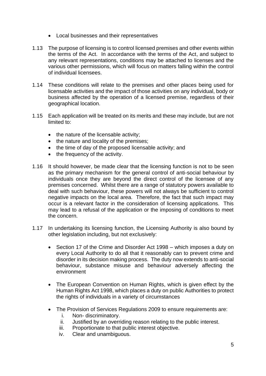- Local businesses and their representatives
- 1.13 The purpose of licensing is to control licensed premises and other events within the terms of the Act. In accordance with the terms of the Act, and subject to any relevant representations, conditions may be attached to licenses and the various other permissions, which will focus on matters falling within the control of individual licensees.
- 1.14 These conditions will relate to the premises and other places being used for licensable activities and the impact of those activities on any individual, body or business affected by the operation of a licensed premise, regardless of their geographical location.
- 1.15 Each application will be treated on its merits and these may include, but are not limited to:
	- the nature of the licensable activity;
	- the nature and locality of the premises;
	- the time of day of the proposed licensable activity; and
	- the frequency of the activity.
- 1.16 It should however, be made clear that the licensing function is not to be seen as the primary mechanism for the general control of anti-social behaviour by individuals once they are beyond the direct control of the licensee of any premises concerned. Whilst there are a range of statutory powers available to deal with such behaviour, these powers will not always be sufficient to control negative impacts on the local area. Therefore, the fact that such impact may occur is a relevant factor in the consideration of licensing applications. This may lead to a refusal of the application or the imposing of conditions to meet the concern.
- 1.17 In undertaking its licensing function, the Licensing Authority is also bound by other legislation including, but not exclusively:
	- Section 17 of the Crime and Disorder Act 1998 which imposes a duty on every Local Authority to do all that it reasonably can to prevent crime and disorder in its decision making process. The duty now extends to anti-social behaviour, substance misuse and behaviour adversely affecting the environment
	- The European Convention on Human Rights, which is given effect by the Human Rights Act 1998, which places a duty on public Authorities to protect the rights of individuals in a variety of circumstances
	- The Provision of Services Regulations 2009 to ensure requirements are:
		- i. Non- discriminatory.
		- ii. Justified by an overriding reason relating to the public interest.
		- iii. Proportionate to that public interest objective.
		- iv. Clear and unambiguous.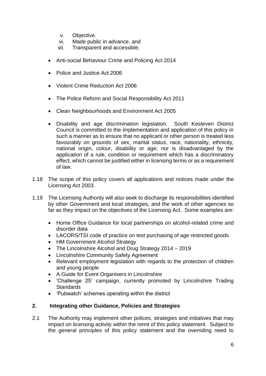- v. Objective.
- vi. Made public in advance, and
- vii. Transparent and accessible.
- Anti-social Behaviour Crime and Policing Act 2014
- Police and Justice Act 2006
- Violent Crime Reduction Act 2006
- The Police Reform and Social Responsibility Act 2011
- Clean Neighbourhoods and Environment Act 2005
- Disability and age discrimination legislation. South Kesteven District Council is committed to the implementation and application of this policy in such a manner as to ensure that no applicant or other person is treated less favourably on grounds of sex, marital status, race, nationality, ethnicity, national origin, colour, disability or age; nor is disadvantaged by the application of a rule, condition or requirement which has a discriminatory effect, which cannot be justified either in licensing terms or as a requirement of law.
- 1.18 The scope of this policy covers all applications and notices made under the Licensing Act 2003.
- 1.19 The Licensing Authority will also seek to discharge its responsibilities identified by other Government and local strategies, and the work of other agencies so far as they impact on the objectives of the Licensing Act. Some examples are:
	- Home Office Guidance for local partnerships on alcohol-related crime and disorder data
	- LACORS/TSI code of practice on test purchasing of age restricted goods
	- HM Government Alcohol Strategy
	- The Lincolnshire Alcohol and Drug Strategy 2014 2019
	- Lincolnshire Community Safety Agreement
	- Relevant employment legislation with regards to the protection of children and young people
	- A Guide for Event Organisers in Lincolnshire
	- 'Challenge 25' campaign, currently promoted by Lincolnshire Trading **Standards**
	- 'Pubwatch' schemes operating within the district

#### <span id="page-6-0"></span>**2. Integrating other Guidance, Policies and Strategies**

2.1 The Authority may implement other polices, strategies and initiatives that may impact on licensing activity within the remit of this policy statement. Subject to the general principles of this policy statement and the overriding need to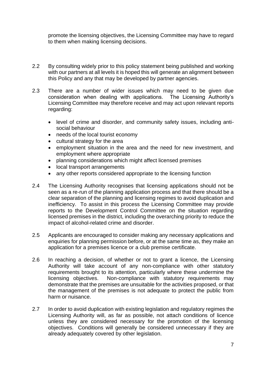promote the licensing objectives, the Licensing Committee may have to regard to them when making licensing decisions.

- 2.2 By consulting widely prior to this policy statement being published and working with our partners at all levels it is hoped this will generate an alignment between this Policy and any that may be developed by partner agencies.
- 2.3 There are a number of wider issues which may need to be given due consideration when dealing with applications. The Licensing Authority's Licensing Committee may therefore receive and may act upon relevant reports regarding:
	- level of crime and disorder, and community safety issues, including antisocial behaviour
	- needs of the local tourist economy
	- cultural strategy for the area
	- employment situation in the area and the need for new investment, and employment where appropriate
	- planning considerations which might affect licensed premises
	- local transport arrangements
	- any other reports considered appropriate to the licensing function
- 2.4 The Licensing Authority recognises that licensing applications should not be seen as a re-run of the planning application process and that there should be a clear separation of the planning and licensing regimes to avoid duplication and inefficiency. To assist in this process the Licensing Committee may provide reports to the Development Control Committee on the situation regarding licensed premises in the district, including the overarching priority to reduce the impact of alcohol-related crime and disorder.
- 2.5 Applicants are encouraged to consider making any necessary applications and enquiries for planning permission before, or at the same time as, they make an application for a premises licence or a club premise certificate.
- 2.6 In reaching a decision, of whether or not to grant a licence, the Licensing Authority will take account of any non-compliance with other statutory requirements brought to its attention, particularly where these undermine the licensing objectives. Non-compliance with statutory requirements may demonstrate that the premises are unsuitable for the activities proposed, or that the management of the premises is not adequate to protect the public from harm or nuisance.
- 2.7 In order to avoid duplication with existing legislation and regulatory regimes the Licensing Authority will, as far as possible, not attach conditions of licence unless they are considered necessary for the promotion of the licensing objectives. Conditions will generally be considered unnecessary if they are already adequately covered by other legislation.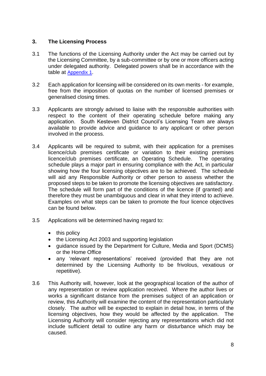# <span id="page-8-0"></span>**3. The Licensing Process**

- 3.1 The functions of the Licensing Authority under the Act may be carried out by the Licensing Committee, by a sub-committee or by one or more officers acting under delegated authority. Delegated powers shall be in accordance with the table at [Appendix 1](#page-25-2).
- 3.2 Each application for licensing will be considered on its own merits for example, free from the imposition of quotas on the number of licensed premises or generalised closing times.
- 3.3 Applicants are strongly advised to liaise with the responsible authorities with respect to the content of their operating schedule before making any application. South Kesteven District Council's Licensing Team are always available to provide advice and guidance to any applicant or other person involved in the process.
- 3.4 Applicants will be required to submit, with their application for a premises licence/club premises certificate or variation to their existing premises licence/club premises certificate, an Operating Schedule. The operating schedule plays a major part in ensuring compliance with the Act, in particular showing how the four licensing objectives are to be achieved. The schedule will aid any Responsible Authority or other person to assess whether the proposed steps to be taken to promote the licensing objectives are satisfactory. The schedule will form part of the conditions of the licence (if granted) and therefore they must be unambiguous and clear in what they intend to achieve. Examples on what steps can be taken to promote the four licence objectives can be found below.
- 3.5 Applications will be determined having regard to:
	- this policy
	- the Licensing Act 2003 and supporting legislation
	- guidance issued by the Department for Culture, Media and Sport (DCMS) or the Home Office
	- any 'relevant representations' received (provided that they are not determined by the Licensing Authority to be frivolous, vexatious or repetitive).
- 3.6 This Authority will, however, look at the geographical location of the author of any representation or review application received. Where the author lives or works a significant distance from the premises subject of an application or review, this Authority will examine the content of the representation particularly closely. The author will be expected to explain in detail how, in terms of the licensing objectives, how they would be affected by the application. The Licensing Authority will consider rejecting any representations which did not include sufficient detail to outline any harm or disturbance which may be caused.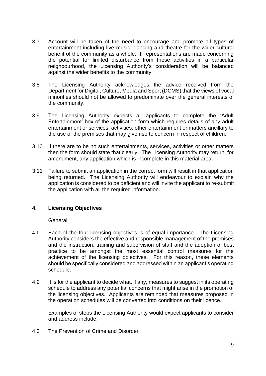- 3.7 Account will be taken of the need to encourage and promote all types of entertainment including live music, dancing and theatre for the wider cultural benefit of the community as a whole. If representations are made concerning the potential for limited disturbance from these activities in a particular neighbourhood, the Licensing Authority's consideration will be balanced against the wider benefits to the community.
- 3.8 The Licensing Authority acknowledges the advice received from the Department for Digital, Culture, Media and Sport (DCMS) that the views of vocal minorities should not be allowed to predominate over the general interests of the community.
- 3.9 The Licensing Authority expects all applicants to complete the 'Adult Entertainment' box of the application form which requires details of any adult entertainment or services, activities, other entertainment or matters ancillary to the use of the premises that may give rise to concern in respect of children.
- 3.10 If there are to be no such entertainments, services, activities or other matters then the form should state that clearly. The Licensing Authority may return, for amendment, any application which is incomplete in this material area.
- 3.11 Failure to submit an application in the correct form will result in that application being returned. The Licensing Authority will endeavour to explain why the application is considered to be deficient and will invite the applicant to re-submit the application with all the required information.

# <span id="page-9-0"></span>**4. Licensing Objectives**

General

- 4.1 Each of the four licensing objectives is of equal importance. The Licensing Authority considers the effective and responsible management of the premises and the instruction, training and supervision of staff and the adoption of best practice to be amongst the most essential control measures for the achievement of the licensing objectives. For this reason, these elements should be specifically considered and addressed within an applicant's operating schedule.
- 4.2 It is for the applicant to decide what, if any, measures to suggest in its operating schedule to address any potential concerns that might arise in the promotion of the licensing objectives. Applicants are reminded that measures proposed in the operation schedules will be converted into conditions on their licence.

Examples of steps the Licensing Authority would expect applicants to consider and address include:

4.3 The Prevention of Crime and Disorder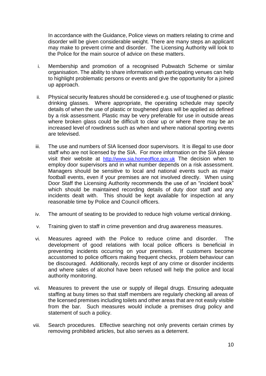In accordance with the Guidance, Police views on matters relating to crime and disorder will be given considerable weight. There are many steps an applicant may make to prevent crime and disorder. The Licensing Authority will look to the Police for the main source of advice on these matters.

- i. Membership and promotion of a recognised Pubwatch Scheme or similar organisation. The ability to share information with participating venues can help to highlight problematic persons or events and give the opportunity for a joined up approach.
- ii. Physical security features should be considered e.g. use of toughened or plastic drinking glasses. Where appropriate, the operating schedule may specify details of when the use of plastic or toughened glass will be applied as defined by a risk assessment. Plastic may be very preferable for use in outside areas where broken glass could be difficult to clear up or where there may be an increased level of rowdiness such as when and where national sporting events are televised.
- iii. The use and numbers of SIA licensed door supervisors. It is illegal to use door staff who are not licensed by the SIA. For more information on the SIA please visit their website at [http://www.sia.homeoffice.gov.uk](http://www.sia.homeoffice.gov.uk/) The decision when to employ door supervisors and in what number depends on a risk assessment. Managers should be sensitive to local and national events such as major football events, even if your premises are not involved directly. When using Door Staff the Licensing Authority recommends the use of an "incident book" which should be maintained recording details of duty door staff and any incidents dealt with. This should be kept available for inspection at any reasonable time by Police and Council officers.
- iv. The amount of seating to be provided to reduce high volume vertical drinking.
- v. Training given to staff in crime prevention and drug awareness measures.
- vi. Measures agreed with the Police to reduce crime and disorder. The development of good relations with local police officers is beneficial in preventing incidents occurring on your premises. If customers become accustomed to police officers making frequent checks, problem behaviour can be discouraged. Additionally, records kept of any crime or disorder incidents and where sales of alcohol have been refused will help the police and local authority monitoring.
- vii. Measures to prevent the use or supply of illegal drugs. Ensuring adequate staffing at busy times so that staff members are regularly checking all areas of the licensed premises including toilets and other areas that are not easily visible from the bar. Such measures would include a premises drug policy and statement of such a policy.
- viii. Search procedures. Effective searching not only prevents certain crimes by removing prohibited articles, but also serves as a deterrent.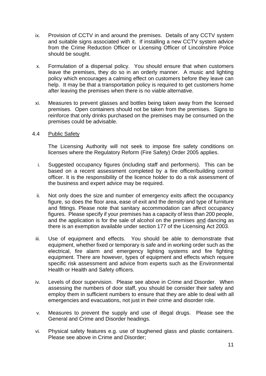- ix. Provision of CCTV in and around the premises. Details of any CCTV system and suitable signs associated with it. If installing a new CCTV system advice from the Crime Reduction Officer or Licensing Officer of Lincolnshire Police should be sought.
- x. Formulation of a dispersal policy. You should ensure that when customers leave the premises, they do so in an orderly manner. A music and lighting policy which encourages a calming effect on customers before they leave can help. It may be that a transportation policy is required to get customers home after leaving the premises when there is no viable alternative.
- xi. Measures to prevent glasses and bottles being taken away from the licensed premises. Open containers should not be taken from the premises. Signs to reinforce that only drinks purchased on the premises may be consumed on the premises could be advisable.

#### 4.4 Public Safety

The Licensing Authority will not seek to impose fire safety conditions on licenses where the Regulatory Reform (Fire Safety) Order 2005 applies.

- i. Suggested occupancy figures (including staff and performers). This can be based on a recent assessment completed by a fire officer/building control officer. It is the responsibility of the licence holder to do a risk assessment of the business and expert advice may be required.
- ii. Not only does the size and number of emergency exits affect the occupancy figure, so does the floor area, ease of exit and the density and type of furniture and fittings. Please note that sanitary accommodation can affect occupancy figures. Please specify if your premises has a capacity of less than 200 people, and the application is for the sale of alcohol on the premises and dancing as there is an exemption available under section 177 of the Licensing Act 2003.
- iii. Use of equipment and effects. You should be able to demonstrate that equipment, whether fixed or temporary is safe and in working order such as the electrical, fire alarm and emergency lighting systems and fire fighting equipment. There are however, types of equipment and effects which require specific risk assessment and advice from experts such as the Environmental Health or Health and Safety officers.
- iv. Levels of door supervision. Please see above in Crime and Disorder. When assessing the numbers of door staff, you should be consider their safety and employ them in sufficient numbers to ensure that they are able to deal with all emergencies and evacuations, not just in their crime and disorder role.
- v. Measures to prevent the supply and use of illegal drugs. Please see the General and Crime and Disorder headings.
- vi. Physical safety features e.g. use of toughened glass and plastic containers. Please see above in Crime and Disorder;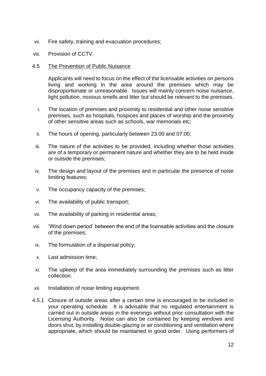- vii. Fire safety, training and evacuation procedures;
- viii. Provision of CCTV.
- 4.5 The Prevention of Public Nuisance

Applicants will need to focus on the effect of the licensable activities on persons living and working in the area around the premises which may be disproportionate or unreasonable. Issues will mainly concern noise nuisance, light pollution, noxious smells and litter but should be relevant to the premises.

- i. The location of premises and proximity to residential and other noise sensitive premises, such as hospitals, hospices and places of worship and the proximity of other sensitive areas such as schools, war memorials etc;
- ii. The hours of opening, particularly between 23.00 and 07.00;
- iii. The nature of the activities to be provided, including whether those activities are of a temporary or permanent nature and whether they are to be held inside or outside the premises;
- iv. The design and layout of the premises and in particular the presence of noise limiting features;
- v. The occupancy capacity of the premises;
- vi. The availability of public transport;
- vii. The availability of parking in residential areas;
- viii. 'Wind down period' between the end of the licensable activities and the closure of the premises;
- ix. The formulation of a dispersal policy;
- x. Last admission time;
- xi. The upkeep of the area immediately surrounding the premises such as litter collection.
- xii. Installation of noise limiting equipment.
- 4.5.1 Closure of outside areas after a certain time is encouraged to be included in your operating schedule. It is advisable that no regulated entertainment is carried out in outside areas in the evenings without prior consultation with the Licensing Authority. Noise can also be contained by keeping windows and doors shut, by installing double-glazing or air conditioning and ventilation where appropriate, which should be maintained in good order. Using performers of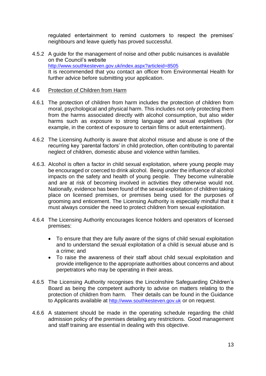regulated entertainment to remind customers to respect the premises' neighbours and leave quietly has proved successful.

4.5.2 A guide for the management of noise and other public nuisances is available on the Council's website <http://www.southkesteven.gov.uk/index.aspx?articleid=8505> It is recommended that you contact an officer from Environmental Health for further advice before submitting your application.

#### 4.6 Protection of Children from Harm

- 4.6.1 The protection of children from harm includes the protection of children from moral, psychological and physical harm. This includes not only protecting them from the harms associated directly with alcohol consumption, but also wider harms such as exposure to strong language and sexual expletives (for example, in the context of exposure to certain films or adult entertainment).
- 4.6.2 The Licensing Authority is aware that alcohol misuse and abuse is one of the recurring key 'parental factors' in child protection, often contributing to parental neglect of children, domestic abuse and violence within families.
- 4.6.3. Alcohol is often a factor in child sexual exploitation, where young people may be encouraged or coerced to drink alcohol. Being under the influence of alcohol impacts on the safety and health of young people. They become vulnerable and are at risk of becoming involved in activities they otherwise would not. Nationally, evidence has been found of the sexual exploitation of children taking place on licensed premises, or premises being used for the purposes of grooming and enticement. The Licensing Authority is especially mindful that it must always consider the need to protect children from sexual exploitation.
- 4.6.4 The Licensing Authority encourages licence holders and operators of licensed premises:
	- To ensure that they are fully aware of the signs of child sexual exploitation and to understand the sexual exploitation of a child is sexual abuse and is a crime; and
	- To raise the awareness of their staff about child sexual exploitation and provide intelligence to the appropriate authorities about concerns and about perpetrators who may be operating in their areas.
- 4.6.5 The Licensing Authority recognises the Lincolnshire Safeguarding Children's Board as being the competent authority to advise on matters relating to the protection of children from harm. Their details can be found in the Guidance to Applicants available at [http://www.southkesteven.gov.uk](http://www.southkesteven.gov.uk/) or on request.
- 4.6.6 A statement should be made in the operating schedule regarding the child admission policy of the premises detailing any restrictions. Good management and staff training are essential in dealing with this objective.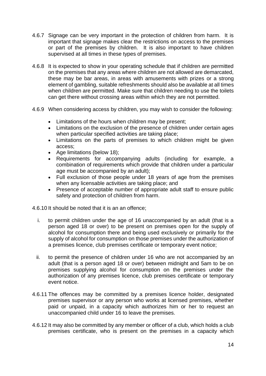- 4.6.7 Signage can be very important in the protection of children from harm. It is important that signage makes clear the restrictions on access to the premises or part of the premises by children. It is also important to have children supervised at all times in these types of premises.
- 4.6.8 It is expected to show in your operating schedule that if children are permitted on the premises that any areas where children are not allowed are demarcated, these may be bar areas, in areas with amusements with prizes or a strong element of gambling, suitable refreshments should also be available at all times when children are permitted. Make sure that children needing to use the toilets can get there without crossing areas within which they are not permitted.
- 4.6.9 When considering access by children, you may wish to consider the following:
	- Limitations of the hours when children may be present;
	- Limitations on the exclusion of the presence of children under certain ages when particular specified activities are taking place;
	- Limitations on the parts of premises to which children might be given access;
	- Age limitations (below 18);
	- Requirements for accompanying adults (including for example, a combination of requirements which provide that children under a particular age must be accompanied by an adult);
	- Full exclusion of those people under 18 years of age from the premises when any licensable activities are taking place; and
	- Presence of acceptable number of appropriate adult staff to ensure public safety and protection of children from harm.
- 4.6.10 It should be noted that it is an an offence;
	- i. to permit children under the age of 16 unaccompanied by an adult (that is a person aged 18 or over) to be present on premises open for the supply of alcohol for consumption there and being used exclusively or primarily for the supply of alcohol for consumption on those premises under the authorization of a premises licence, club premises certificate or temporary event notice;
	- ii. to permit the presence of children under 16 who are not accompanied by an adult (that is a person aged 18 or over) between midnight and 5am to be on premises supplying alcohol for consumption on the premises under the authorization of any premises licence, club premises certificate or temporary event notice.
- 4.6.11 The offences may be committed by a premises licence holder, designated premises supervisor or any person who works at licensed premises, whether paid or unpaid, in a capacity which authorizes him or her to request an unaccompanied child under 16 to leave the premises.
- 4.6.12 It may also be committed by any member or officer of a club, which holds a club premises certificate, who is present on the premises in a capacity which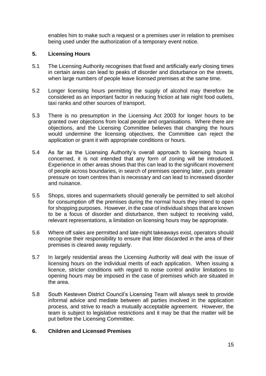enables him to make such a request or a premises user in relation to premises being used under the authorization of a temporary event notice.

## <span id="page-15-0"></span>**5. Licensing Hours**

- 5.1 The Licensing Authority recognises that fixed and artificially early closing times in certain areas can lead to peaks of disorder and disturbance on the streets, when large numbers of people leave licensed premises at the same time.
- 5.2 Longer licensing hours permitting the supply of alcohol may therefore be considered as an important factor in reducing friction at late night food outlets, taxi ranks and other sources of transport.
- 5.3 There is no presumption in the Licensing Act 2003 for longer hours to be granted over objections from local people and organisations. Where there are objections, and the Licensing Committee believes that changing the hours would undermine the licensing objectives, the Committee can reject the application or grant it with appropriate conditions or hours.
- 5.4 As far as the Licensing Authority's overall approach to licensing hours is concerned, it is not intended that any form of zoning will be introduced. Experience in other areas shows that this can lead to the significant movement of people across boundaries, in search of premises opening later, puts greater pressure on town centres than is necessary and can lead to increased disorder and nuisance.
- 5.5 Shops, stores and supermarkets should generally be permitted to sell alcohol for consumption off the premises during the normal hours they intend to open for shopping purposes. However, in the case of individual shops that are known to be a focus of disorder and disturbance, then subject to receiving valid, relevant representations, a limitation on licensing hours may be appropriate.
- 5.6 Where off sales are permitted and late-night takeaways exist, operators should recognise their responsibility to ensure that litter discarded in the area of their premises is cleared away regularly.
- 5.7 In largely residential areas the Licensing Authority will deal with the issue of licensing hours on the individual merits of each application. When issuing a licence, stricter conditions with regard to noise control and/or limitations to opening hours may be imposed in the case of premises which are situated in the area.
- 5.8 South Kesteven District Council's Licensing Team will always seek to provide informal advice and mediate between all parties involved in the application process, and strive to reach a mutually acceptable agreement. However, the team is subject to legislative restrictions and it may be that the matter will be put before the Licensing Committee.

#### <span id="page-15-1"></span>**6. Children and Licensed Premises**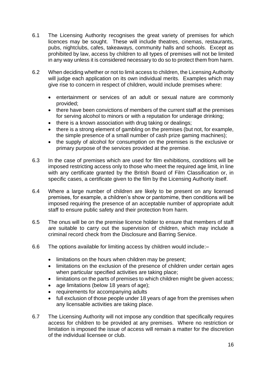- 6.1 The Licensing Authority recognises the great variety of premises for which licences may be sought. These will include theatres, cinemas, restaurants, pubs, nightclubs, cafes, takeaways, community halls and schools. Except as prohibited by law, access by children to all types of premises will not be limited in any way unless it is considered necessary to do so to protect them from harm.
- 6.2 When deciding whether or not to limit access to children, the Licensing Authority will judge each application on its own individual merits. Examples which may give rise to concern in respect of children, would include premises where:
	- entertainment or services of an adult or sexual nature are commonly provided;
	- there have been convictions of members of the current staff at the premises for serving alcohol to minors or with a reputation for underage drinking;
	- there is a known association with drug taking or dealings;
	- there is a strong element of gambling on the premises (but not, for example, the simple presence of a small number of cash prize gaming machines);
	- the supply of alcohol for consumption on the premises is the exclusive or primary purpose of the services provided at the premise.
- 6.3 In the case of premises which are used for film exhibitions, conditions will be imposed restricting access only to those who meet the required age limit, in line with any certificate granted by the British Board of Film Classification or, in specific cases, a certificate given to the film by the Licensing Authority itself.
- 6.4 Where a large number of children are likely to be present on any licensed premises, for example, a children's show or pantomime, then conditions will be imposed requiring the presence of an acceptable number of appropriate adult staff to ensure public safety and their protection from harm.
- 6.5 The onus will be on the premise licence holder to ensure that members of staff are suitable to carry out the supervision of children, which may include a criminal record check from the Disclosure and Barring Service.
- 6.6 The options available for limiting access by children would include:–
	- limitations on the hours when children may be present;
	- limitations on the exclusion of the presence of children under certain ages when particular specified activities are taking place;
	- limitations on the parts of premises to which children might be given access;
	- age limitations (below 18 years of age);
	- requirements for accompanying adults
	- full exclusion of those people under 18 years of age from the premises when any licensable activities are taking place.
- 6.7 The Licensing Authority will not impose any condition that specifically requires access for children to be provided at any premises. Where no restriction or limitation is imposed the issue of access will remain a matter for the discretion of the individual licensee or club.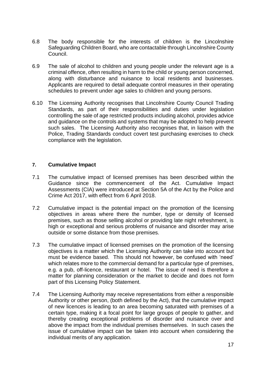- 6.8 The body responsible for the interests of children is the Lincolnshire Safeguarding Children Board, who are contactable through Lincolnshire County Council.
- 6.9 The sale of alcohol to children and young people under the relevant age is a criminal offence, often resulting in harm to the child or young person concerned, along with disturbance and nuisance to local residents and businesses. Applicants are required to detail adequate control measures in their operating schedules to prevent under age sales to children and young persons.
- 6.10 The Licensing Authority recognises that Lincolnshire County Council Trading Standards, as part of their responsibilities and duties under legislation controlling the sale of age restricted products including alcohol, provides advice and guidance on the controls and systems that may be adopted to help prevent such sales. The Licensing Authority also recognises that, in liaison with the Police, Trading Standards conduct covert test purchasing exercises to check compliance with the legislation.

#### <span id="page-17-0"></span>**7. Cumulative Impact**

- 7.1 The cumulative impact of licensed premises has been described within the Guidance since the commencement of the Act. Cumulative Impact Assessments (CIA) were introduced at Section 5A of the Act by the Police and Crime Act 2017, with effect from 6 April 2018.
- 7.2 Cumulative impact is the potential impact on the promotion of the licensing objectives in areas where there the number, type or density of licensed premises, such as those selling alcohol or providing late night refreshment, is high or exceptional and serious problems of nuisance and disorder may arise outside or some distance from those premises.
- 7.3 The cumulative impact of licensed premises on the promotion of the licensing objectives is a matter which the Licensing Authority can take into account but must be evidence based. This should not however, be confused with 'need' which relates more to the commercial demand for a particular type of premises, e.g. a pub, off-licence, restaurant or hotel. The issue of need is therefore a matter for planning consideration or the market to decide and does not form part of this Licensing Policy Statement.
- 7.4 The Licensing Authority may receive representations from either a responsible Authority or other person, (both defined by the Act), that the cumulative impact of new licences is leading to an area becoming saturated with premises of a certain type, making it a focal point for large groups of people to gather, and thereby creating exceptional problems of disorder and nuisance over and above the impact from the individual premises themselves. In such cases the issue of cumulative impact can be taken into account when considering the individual merits of any application.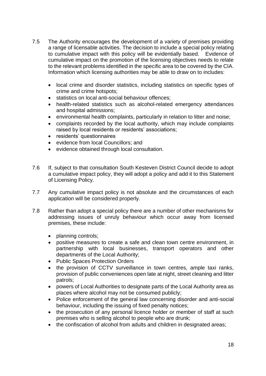- 7.5 The Authority encourages the development of a variety of premises providing a range of licensable activities. The decision to include a special policy relating to cumulative impact with this policy will be evidentially based. Evidence of cumulative impact on the promotion of the licensing objectives needs to relate to the relevant problems identified in the specific area to be covered by the CIA. Information which licensing authorities may be able to draw on to includes:
	- local crime and disorder statistics, including statistics on specific types of crime and crime hotspots;
	- statistics on local anti-social behaviour offences;
	- health-related statistics such as alcohol-related emergency attendances and hospital admissions;
	- environmental health complaints, particularly in relation to litter and noise;
	- complaints recorded by the local authority, which may include complaints raised by local residents or residents' associations;
	- residents' questionnaires
	- evidence from local Councillors; and
	- evidence obtained through local consultation.
- 7.6 If, subject to that consultation South Kesteven District Council decide to adopt a cumulative impact policy, they will adopt a policy and add it to this Statement of Licensing Policy.
- 7.7 Any cumulative impact policy is not absolute and the circumstances of each application will be considered properly.
- 7.8 Rather than adopt a special policy there are a number of other mechanisms for addressing issues of unruly behaviour which occur away from licensed premises, these include:
	- planning controls;
	- positive measures to create a safe and clean town centre environment, in partnership with local businesses, transport operators and other departments of the Local Authority;
	- Public Spaces Protection Orders
	- the provision of CCTV surveillance in town centres, ample taxi ranks, provision of public conveniences open late at night, street cleaning and litter patrols;
	- powers of Local Authorities to designate parts of the Local Authority area as places where alcohol may not be consumed publicly;
	- Police enforcement of the general law concerning disorder and anti-social behaviour, including the issuing of fixed penalty notices;
	- the prosecution of any personal licence holder or member of staff at such premises who is selling alcohol to people who are drunk;
	- the confiscation of alcohol from adults and children in designated areas;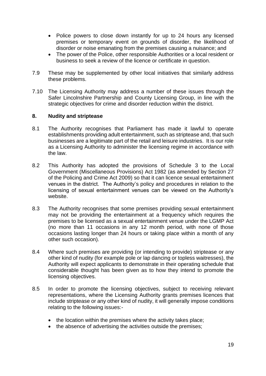- Police powers to close down instantly for up to 24 hours any licensed premises or temporary event on grounds of disorder, the likelihood of disorder or noise emanating from the premises causing a nuisance; and
- The power of the Police, other responsible Authorities or a local resident or business to seek a review of the licence or certificate in question.
- 7.9 These may be supplemented by other local initiatives that similarly address these problems.
- 7.10 The Licensing Authority may address a number of these issues through the Safer Lincolnshire Partnership and County Licensing Group, in line with the strategic objectives for crime and disorder reduction within the district.

#### <span id="page-19-0"></span>**8. Nudity and striptease**

- 8.1 The Authority recognises that Parliament has made it lawful to operate establishments providing adult entertainment, such as striptease and, that such businesses are a legitimate part of the retail and leisure industries. It is our role as a Licensing Authority to administer the licensing regime in accordance with the law.
- 8.2 This Authority has adopted the provisions of Schedule 3 to the Local Government (Miscellaneous Provisions) Act 1982 (as amended by Section 27 of the Policing and Crime Act 2009) so that it can licence sexual entertainment venues in the district. The Authority's policy and procedures in relation to the licensing of sexual entertainment venues can be viewed on the Authority's website.
- 8.3 The Authority recognises that some premises providing sexual entertainment may not be providing the entertainment at a frequency which requires the premises to be licensed as a sexual entertainment venue under the LGMP Act (no more than 11 occasions in any 12 month period, with none of those occasions lasting longer than 24 hours or taking place within a month of any other such occasion).
- 8.4 Where such premises are providing (or intending to provide) striptease or any other kind of nudity (for example pole or lap dancing or topless waitresses), the Authority will expect applicants to demonstrate in their operating schedule that considerable thought has been given as to how they intend to promote the licensing objectives.
- 8.5 In order to promote the licensing objectives, subject to receiving relevant representations, where the Licensing Authority grants premises licences that include striptease or any other kind of nudity, it will generally impose conditions relating to the following issues:-
	- the location within the premises where the activity takes place;
	- the absence of advertising the activities outside the premises;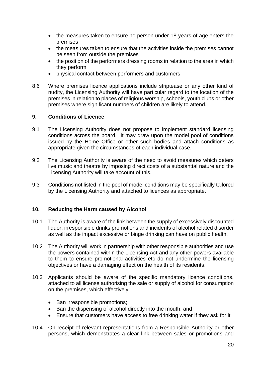- the measures taken to ensure no person under 18 years of age enters the premises
- the measures taken to ensure that the activities inside the premises cannot be seen from outside the premises
- the position of the performers dressing rooms in relation to the area in which they perform
- physical contact between performers and customers
- 8.6 Where premises licence applications include striptease or any other kind of nudity, the Licensing Authority will have particular regard to the location of the premises in relation to places of religious worship, schools, youth clubs or other premises where significant numbers of children are likely to attend.

## <span id="page-20-0"></span>**9. Conditions of Licence**

- 9.1 The Licensing Authority does not propose to implement standard licensing conditions across the board. It may draw upon the model pool of conditions issued by the Home Office or other such bodies and attach conditions as appropriate given the circumstances of each individual case.
- 9.2 The Licensing Authority is aware of the need to avoid measures which deters live music and theatre by imposing direct costs of a substantial nature and the Licensing Authority will take account of this.
- 9.3 Conditions not listed in the pool of model conditions may be specifically tailored by the Licensing Authority and attached to licences as appropriate.

#### <span id="page-20-1"></span>**10. Reducing the Harm caused by Alcohol**

- 10.1 The Authority is aware of the link between the supply of excessively discounted liquor, irresponsible drinks promotions and incidents of alcohol related disorder as well as the impact excessive or binge drinking can have on public health.
- 10.2 The Authority will work in partnership with other responsible authorities and use the powers contained within the Licensing Act and any other powers available to them to ensure promotional activities etc do not undermine the licensing objectives or have a damaging effect on the health of its residents.
- 10.3 Applicants should be aware of the specific mandatory licence conditions, attached to all license authorising the sale or supply of alcohol for consumption on the premises, which effectively;
	- Ban irresponsible promotions;
	- Ban the dispensing of alcohol directly into the mouth; and
	- Ensure that customers have access to free drinking water if they ask for it
- 10.4 On receipt of relevant representations from a Responsible Authority or other persons, which demonstrates a clear link between sales or promotions and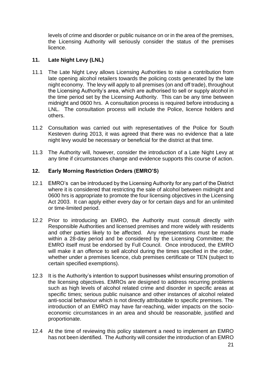levels of crime and disorder or public nuisance on or in the area of the premises, the Licensing Authority will seriously consider the status of the premises licence.

# <span id="page-21-0"></span>**11. Late Night Levy (LNL)**

- 11.1 The Late Night Levy allows Licensing Authorities to raise a contribution from late opening alcohol retailers towards the policing costs generated by the late night economy. The levy will apply to all premises (on and off trade), throughout the Licensing Authority's area, which are authorised to sell or supply alcohol in the time period set by the Licensing Authority. This can be any time between midnight and 0600 hrs. A consultation process is required before introducing a LNL. The consultation process will include the Police, licence holders and others.
- 11.2 Consultation was carried out with representatives of the Police for South Kesteven during 2013, it was agreed that there was no evidence that a late night levy would be necessary or beneficial for the district at that time.
- 11.3 The Authority will, however, consider the introduction of a Late Night Levy at any time if circumstances change and evidence supports this course of action.

## <span id="page-21-1"></span>**12. Early Morning Restriction Orders (EMRO'S)**

- 12.1 EMRO's can be introduced by the Licensing Authority for any part of the District where it is considered that restricting the sale of alcohol between midnight and 0600 hrs is appropriate to promote the four licensing objectives in the Licensing Act 2003. It can apply either every day or for certain days and for an unlimited or time-limited period.
- 12.2 Prior to introducing an EMRO, the Authority must consult directly with Responsible Authorities and licensed premises and more widely with residents and other parties likely to be affected. Any representations must be made within a 28-day period and be considered by the Licensing Committee; the EMRO itself must be endorsed by Full Council. Once introduced, the EMRO will make it an offence to sell alcohol during the times specified in the order, whether under a premises licence, club premises certificate or TEN (subject to certain specified exemptions).
- 12.3 It is the Authority's intention to support businesses whilst ensuring promotion of the licensing objectives. EMROs are designed to address recurring problems such as high levels of alcohol related crime and disorder in specific areas at specific times; serious public nuisance and other instances of alcohol related anti-social behaviour which is not directly attributable to specific premises. The introduction of an EMRO may have far-reaching, wider impacts on the socioeconomic circumstances in an area and should be reasonable, justified and proportionate.
- 12.4 At the time of reviewing this policy statement a need to implement an EMRO has not been identified. The Authority will consider the introduction of an EMRO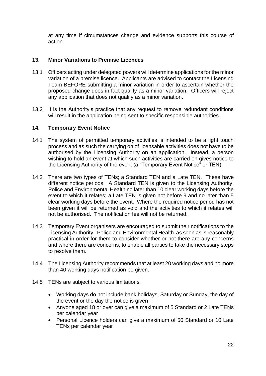at any time if circumstances change and evidence supports this course of action.

# <span id="page-22-0"></span>**13. Minor Variations to Premise Licences**

- 13.1 Officers acting under delegated powers will determine applications for the minor variation of a premise licence. Applicants are advised to contact the Licensing Team BEFORE submitting a minor variation in order to ascertain whether the proposed change does in fact qualify as a minor variation. Officers will reject any application that does not qualify as a minor variation.
- 13.2 It is the Authority's practice that any request to remove redundant conditions will result in the application being sent to specific responsible authorities.

#### <span id="page-22-1"></span>**14. Temporary Event Notice**

- 14.1 The system of permitted temporary activities is intended to be a light touch process and as such the carrying on of licensable activities does not have to be authorised by the Licensing Authority on an application. Instead, a person wishing to hold an event at which such activities are carried on gives notice to the Licensing Authority of the event (a "Temporary Event Notice" or TEN).
- 14.2 There are two types of TENs; a Standard TEN and a Late TEN. These have different notice periods. A Standard TEN is given to the Licensing Authority, Police and Environmental Health no later than 10 clear working days before the event to which it relates; a Late TEN is given not before 9 and no later than 5 clear working days before the event. Where the required notice period has not been given it will be returned as void and the activities to which it relates will not be authorised. The notification fee will not be returned.
- 14.3 Temporary Event organisers are encouraged to submit their notifications to the Licensing Authority, Police and Environmental Health as soon as is reasonably practical in order for them to consider whether or not there are any concerns and where there are concerns, to enable all parties to take the necessary steps to resolve them.
- 14.4 The Licensing Authority recommends that at least 20 working days and no more than 40 working days notification be given.
- 14.5 TENs are subject to various limitations:
	- Working days do not include bank holidays, Saturday or Sunday, the day of the event or the day the notice is given
	- Anyone aged 18 or over can give a maximum of 5 Standard or 2 Late TENs per calendar year
	- Personal Licence holders can give a maximum of 50 Standard or 10 Late TENs per calendar year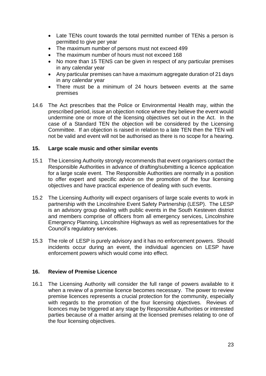- Late TENs count towards the total permitted number of TENs a person is permitted to give per year
- The maximum number of persons must not exceed 499
- The maximum number of hours must not exceed 168
- No more than 15 TENS can be given in respect of any particular premises in any calendar year
- Any particular premises can have a maximum aggregate duration of 21 days in any calendar year
- There must be a minimum of 24 hours between events at the same premises
- 14.6 The Act prescribes that the Police or Environmental Health may, within the prescribed period, issue an objection notice where they believe the event would undermine one or more of the licensing objectives set out in the Act. In the case of a Standard TEN the objection will be considered by the Licensing Committee. If an objection is raised in relation to a late TEN then the TEN will not be valid and event will not be authorised as there is no scope for a hearing.

#### <span id="page-23-0"></span>**15. Large scale music and other similar events**

- 15.1 The Licensing Authority strongly recommends that event organisers contact the Responsible Authorities in advance of drafting/submitting a licence application for a large scale event. The Responsible Authorities are normally in a position to offer expert and specific advice on the promotion of the four licensing objectives and have practical experience of dealing with such events.
- 15.2 The Licensing Authority will expect organisers of large scale events to work in partnership with the Lincolnshire Event Safety Partnership (LESP). The LESP is an advisory group dealing with public events in the South Kesteven district and members comprise of officers from all emergency services, Lincolnshire Emergency Planning, Lincolnshire Highways as well as representatives for the Council's regulatory services.
- 15.3 The role of LESP is purely advisory and it has no enforcement powers. Should incidents occur during an event, the individual agencies on LESP have enforcement powers which would come into effect.

#### <span id="page-23-1"></span>**16. Review of Premise Licence**

16.1 The Licensing Authority will consider the full range of powers available to it when a review of a premise licence becomes necessary. The power to review premise licences represents a crucial protection for the community, especially with regards to the promotion of the four licensing objectives. Reviews of licences may be triggered at any stage by Responsible Authorities or interested parties because of a matter arising at the licensed premises relating to one of the four licensing objectives.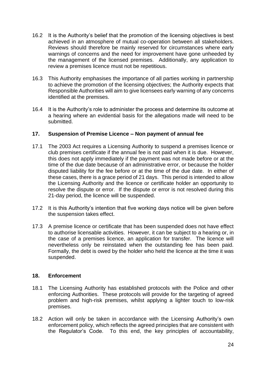- 16.2 It is the Authority's belief that the promotion of the licensing objectives is best achieved in an atmosphere of mutual co-operation between all stakeholders. Reviews should therefore be mainly reserved for circumstances where early warnings of concerns and the need for improvement have gone unheeded by the management of the licensed premises. Additionally, any application to review a premises licence must not be repetitious.
- 16.3 This Authority emphasises the importance of all parties working in partnership to achieve the promotion of the licensing objectives; the Authority expects that Responsible Authorities will aim to give licensees early warning of any concerns identified at the premises.
- 16.4 It is the Authority's role to administer the process and determine its outcome at a hearing where an evidential basis for the allegations made will need to be submitted.

#### <span id="page-24-0"></span>**17. Suspension of Premise Licence – Non payment of annual fee**

- 17.1 The 2003 Act requires a Licensing Authority to suspend a premises licence or club premises certificate if the annual fee is not paid when it is due. However, this does not apply immediately if the payment was not made before or at the time of the due date because of an administrative error, or because the holder disputed liability for the fee before or at the time of the due date. In either of these cases, there is a grace period of 21 days. This period is intended to allow the Licensing Authority and the licence or certificate holder an opportunity to resolve the dispute or error. If the dispute or error is not resolved during this 21-day period, the licence will be suspended.
- 17.2 It is this Authority's intention that five working days notice will be given before the suspension takes effect.
- 17.3 A premise licence or certificate that has been suspended does not have effect to authorise licensable activities. However, it can be subject to a hearing or, in the case of a premises licence, an application for transfer. The licence will nevertheless only be reinstated when the outstanding fee has been paid. Formally, the debt is owed by the holder who held the licence at the time it was suspended.

#### <span id="page-24-1"></span>**18. Enforcement**

- 18.1 The Licensing Authority has established protocols with the Police and other enforcing Authorities. These protocols will provide for the targeting of agreed problem and high-risk premises, whilst applying a lighter touch to low-risk premises.
- 18.2 Action will only be taken in accordance with the Licensing Authority's own enforcement policy, which reflects the agreed principles that are consistent with the Regulator's Code. To this end, the key principles of accountability,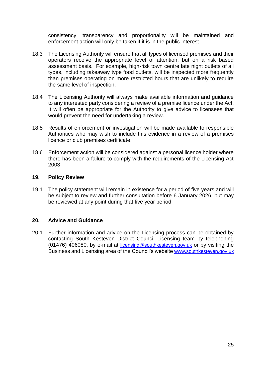consistency, transparency and proportionality will be maintained and enforcement action will only be taken if it is in the public interest.

- 18.3 The Licensing Authority will ensure that all types of licensed premises and their operators receive the appropriate level of attention, but on a risk based assessment basis. For example, high-risk town centre late night outlets of all types, including takeaway type food outlets, will be inspected more frequently than premises operating on more restricted hours that are unlikely to require the same level of inspection.
- 18.4 The Licensing Authority will always make available information and guidance to any interested party considering a review of a premise licence under the Act. It will often be appropriate for the Authority to give advice to licensees that would prevent the need for undertaking a review.
- 18.5 Results of enforcement or investigation will be made available to responsible Authorities who may wish to include this evidence in a review of a premises licence or club premises certificate.
- 18.6 Enforcement action will be considered against a personal licence holder where there has been a failure to comply with the requirements of the Licensing Act 2003.

#### <span id="page-25-0"></span>**19. Policy Review**

19.1 The policy statement will remain in existence for a period of five years and will be subject to review and further consultation before 6 January 2026, but may be reviewed at any point during that five year period.

#### <span id="page-25-1"></span>**20. Advice and Guidance**

<span id="page-25-2"></span>20.1 Further information and advice on the Licensing process can be obtained by contacting South Kesteven District Council Licensing team by telephoning (01476) 406080, by e-mail at [licensing@southkesteven.gov.uk](mailto:licensing@southkesteven.gov.uk) or by visiting the Business and Licensing area of the Council's website [www.southkesteven.gov.uk](http://www.southkesteven.gov.uk/)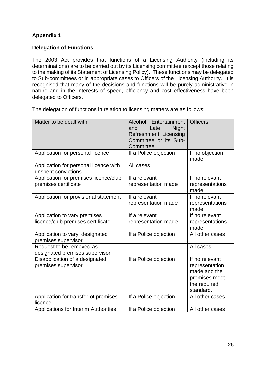# <span id="page-26-0"></span>**Appendix 1**

# <span id="page-26-1"></span>**Delegation of Functions**

The 2003 Act provides that functions of a Licensing Authority (including its determinations) are to be carried out by its Licensing committee (except those relating to the making of its Statement of Licensing Policy). These functions may be delegated to Sub-committees or in appropriate cases to Officers of the Licensing Authority. It is recognised that many of the decisions and functions will be purely administrative in nature and in the interests of speed, efficiency and cost effectiveness have been delegated to Officers.

The delegation of functions in relation to licensing matters are as follows:

| Matter to be dealt with                                           | Alcohol, Entertainment<br><b>Night</b><br>and<br>Late<br><b>Refreshment Licensing</b><br>Committee or its Sub-<br>Committee | <b>Officers</b>                                                                                |
|-------------------------------------------------------------------|-----------------------------------------------------------------------------------------------------------------------------|------------------------------------------------------------------------------------------------|
| Application for personal licence                                  | If a Police objection                                                                                                       | If no objection<br>made                                                                        |
| Application for personal licence with<br>unspent convictions      | All cases                                                                                                                   |                                                                                                |
| Application for premises licence/club<br>premises certificate     | If a relevant<br>representation made                                                                                        | If no relevant<br>representations<br>made                                                      |
| Application for provisional statement                             | If a relevant<br>representation made                                                                                        | If no relevant<br>representations<br>made                                                      |
| Application to vary premises<br>licence/club premises certificate | If a relevant<br>representation made                                                                                        | If no relevant<br>representations<br>made                                                      |
| Application to vary designated<br>premises supervisor             | If a Police objection                                                                                                       | All other cases                                                                                |
| Request to be removed as<br>designated premises supervisor        |                                                                                                                             | All cases                                                                                      |
| Disapplication of a designated<br>premises supervisor             | If a Police objection                                                                                                       | If no relevant<br>representation<br>made and the<br>premises meet<br>the required<br>standard. |
| Application for transfer of premises<br>licence                   | If a Police objection                                                                                                       | All other cases                                                                                |
| <b>Applications for Interim Authorities</b>                       | If a Police objection                                                                                                       | All other cases                                                                                |